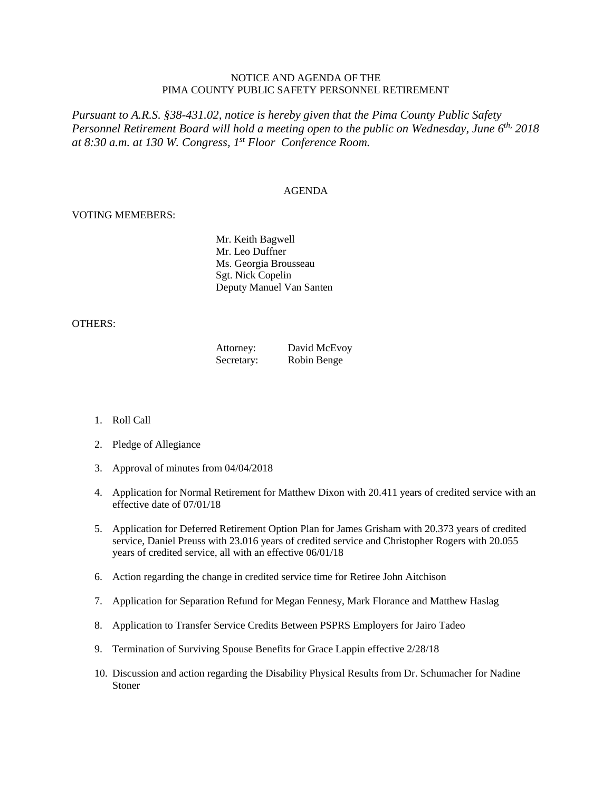## NOTICE AND AGENDA OF THE PIMA COUNTY PUBLIC SAFETY PERSONNEL RETIREMENT

*Pursuant to A.R.S. §38-431.02, notice is hereby given that the Pima County Public Safety Personnel Retirement Board will hold a meeting open to the public on Wednesday, June 6th, 2018 at 8:30 a.m. at 130 W. Congress, 1 st Floor Conference Room.*

## AGENDA

## VOTING MEMEBERS:

Mr. Keith Bagwell Mr. Leo Duffner Ms. Georgia Brousseau Sgt. Nick Copelin Deputy Manuel Van Santen

## OTHERS:

| Attorney:  | David McEvoy |
|------------|--------------|
| Secretary: | Robin Benge  |

- 1. Roll Call
- 2. Pledge of Allegiance
- 3. Approval of minutes from 04/04/2018
- 4. Application for Normal Retirement for Matthew Dixon with 20.411 years of credited service with an effective date of 07/01/18
- 5. Application for Deferred Retirement Option Plan for James Grisham with 20.373 years of credited service, Daniel Preuss with 23.016 years of credited service and Christopher Rogers with 20.055 years of credited service, all with an effective 06/01/18
- 6. Action regarding the change in credited service time for Retiree John Aitchison
- 7. Application for Separation Refund for Megan Fennesy, Mark Florance and Matthew Haslag
- 8. Application to Transfer Service Credits Between PSPRS Employers for Jairo Tadeo
- 9. Termination of Surviving Spouse Benefits for Grace Lappin effective 2/28/18
- 10. Discussion and action regarding the Disability Physical Results from Dr. Schumacher for Nadine Stoner